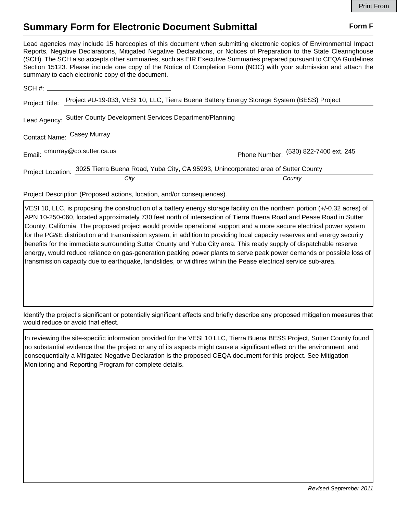## **Summary Form for Electronic Document Submittal Form F Form F**

Lead agencies may include 15 hardcopies of this document when submitting electronic copies of Environmental Impact Reports, Negative Declarations, Mitigated Negative Declarations, or Notices of Preparation to the State Clearinghouse (SCH). The SCH also accepts other summaries, such as EIR Executive Summaries prepared pursuant to CEQA Guidelines Section 15123. Please include one copy of the Notice of Completion Form (NOC) with your submission and attach the summary to each electronic copy of the document.

|                                                                     | Project Title: Project #U-19-033, VESI 10, LLC, Tierra Buena Battery Energy Storage System (BESS) Project |                                       |
|---------------------------------------------------------------------|-----------------------------------------------------------------------------------------------------------|---------------------------------------|
| Lead Agency: Sutter County Development Services Department/Planning |                                                                                                           |                                       |
| Contact Name: Casey Murray                                          |                                                                                                           |                                       |
|                                                                     | Email: cmurray@co.sutter.ca.us                                                                            | Phone Number: (530) 822-7400 ext. 245 |
|                                                                     | Project Location: 3025 Tierra Buena Road, Yuba City, CA 95993, Unincorporated area of Sutter County       |                                       |
|                                                                     | City                                                                                                      | County                                |

Project Description (Proposed actions, location, and/or consequences).

VESI 10, LLC, is proposing the construction of a battery energy storage facility on the northern portion (+/-0.32 acres) of APN 10-250-060, located approximately 730 feet north of intersection of Tierra Buena Road and Pease Road in Sutter County, California. The proposed project would provide operational support and a more secure electrical power system for the PG&E distribution and transmission system, in addition to providing local capacity reserves and energy security benefits for the immediate surrounding Sutter County and Yuba City area. This ready supply of dispatchable reserve energy, would reduce reliance on gas-generation peaking power plants to serve peak power demands or possible loss of transmission capacity due to earthquake, landslides, or wildfires within the Pease electrical service sub-area.

Identify the project's significant or potentially significant effects and briefly describe any proposed mitigation measures that would reduce or avoid that effect.

In reviewing the site-specific information provided for the VESI 10 LLC, Tierra Buena BESS Project, Sutter County found no substantial evidence that the project or any of its aspects might cause a significant effect on the environment, and consequentially a Mitigated Negative Declaration is the proposed CEQA document for this project. See Mitigation Monitoring and Reporting Program for complete details.